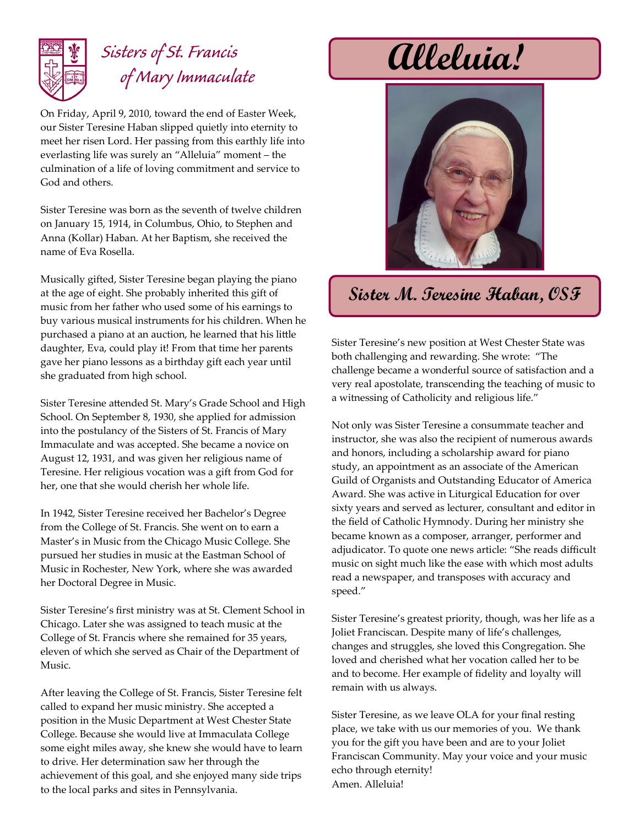

## *Sisters of St. Francis of Mary Immaculate*

On Friday, April 9, 2010, toward the end of Easter Week, our Sister Teresine Haban slipped quietly into eternity to meet her risen Lord. Her passing from this earthly life into everlasting life was surely an "Alleluia" moment – the culmination of a life of loving commitment and service to God and others.

Sister Teresine was born as the seventh of twelve children on January 15, 1914, in Columbus, Ohio, to Stephen and Anna (Kollar) Haban. At her Baptism, she received the name of Eva Rosella.

Musically gifted, Sister Teresine began playing the piano at the age of eight. She probably inherited this gift of music from her father who used some of his earnings to buy various musical instruments for his children. When he purchased a piano at an auction, he learned that his little daughter, Eva, could play it! From that time her parents gave her piano lessons as a birthday gift each year until she graduated from high school.

Sister Teresine attended St. Mary's Grade School and High School. On September 8, 1930, she applied for admission into the postulancy of the Sisters of St. Francis of Mary Immaculate and was accepted. She became a novice on August 12, 1931, and was given her religious name of Teresine. Her religious vocation was a gift from God for her, one that she would cherish her whole life.

In 1942, Sister Teresine received her Bachelor's Degree from the College of St. Francis. She went on to earn a Master's in Music from the Chicago Music College. She pursued her studies in music at the Eastman School of Music in Rochester, New York, where she was awarded her Doctoral Degree in Music.

Sister Teresine's first ministry was at St. Clement School in Chicago. Later she was assigned to teach music at the College of St. Francis where she remained for 35 years, eleven of which she served as Chair of the Department of Music.

After leaving the College of St. Francis, Sister Teresine felt called to expand her music ministry. She accepted a position in the Music Department at West Chester State College. Because she would live at Immaculata College some eight miles away, she knew she would have to learn to drive. Her determination saw her through the achievement of this goal, and she enjoyed many side trips to the local parks and sites in Pennsylvania.

**Alleluia!**



**Sister M. Teresine Haban, OSF**

Sister Teresine's new position at West Chester State was both challenging and rewarding. She wrote: "The challenge became a wonderful source of satisfaction and a very real apostolate, transcending the teaching of music to a witnessing of Catholicity and religious life."

Not only was Sister Teresine a consummate teacher and instructor, she was also the recipient of numerous awards and honors, including a scholarship award for piano study, an appointment as an associate of the American Guild of Organists and Outstanding Educator of America Award. She was active in Liturgical Education for over sixty years and served as lecturer, consultant and editor in the field of Catholic Hymnody. During her ministry she became known as a composer, arranger, performer and adjudicator. To quote one news article: "She reads difficult music on sight much like the ease with which most adults read a newspaper, and transposes with accuracy and speed."

Sister Teresine's greatest priority, though, was her life as a Joliet Franciscan. Despite many of life's challenges, changes and struggles, she loved this Congregation. She loved and cherished what her vocation called her to be and to become. Her example of fidelity and loyalty will remain with us always.

Sister Teresine, as we leave OLA for your final resting place, we take with us our memories of you. We thank you for the gift you have been and are to your Joliet Franciscan Community. May your voice and your music echo through eternity! Amen. Alleluia!